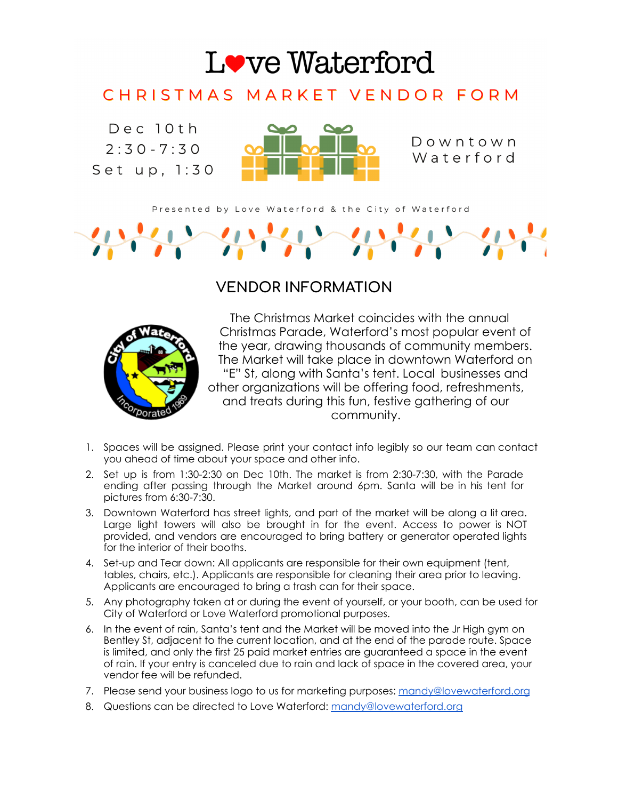

## CHRISTMAS MARKET VENDOR FORM

 $Dec$  10th  $2:30 - 7:30$ Set up, 1:30



Downtown Waterford

Presented by Love Waterford & the City of Waterford

## **VENDOR INFORMATION**



The Christmas Market coincides with the annual Christmas Parade, Waterford's most popular event of the year, drawing thousands of community members. The Market will take place in downtown Waterford on "E" St, along with Santa's tent. Local businesses and other organizations will be offering food, refreshments, and treats during this fun, festive gathering of our community.

- 1. Spaces will be assigned. Please print your contact info legibly so our team can contact you ahead of time about your space and other info.
- 2. Set up is from 1:30-2:30 on Dec 10th. The market is from 2:30-7:30, with the Parade ending after passing through the Market around 6pm. Santa will be in his tent for pictures from 6:30-7:30.
- 3. Downtown Waterford has street lights, and part of the market will be along a lit area. Large light towers will also be brought in for the event. Access to power is NOT provided, and vendors are encouraged to bring battery or generator operated lights for the interior of their booths.
- 4. Set-up and Tear down: All applicants are responsible for their own equipment (tent, tables, chairs, etc.). Applicants are responsible for cleaning their area prior to leaving. Applicants are encouraged to bring a trash can for their space.
- 5. Any photography taken at or during the event of yourself, or your booth, can be used for City of Waterford or Love Waterford promotional purposes.
- 6. In the event of rain, Santa's tent and the Market will be moved into the Jr High gym on Bentley St, adjacent to the current location, and at the end of the parade route. Space is limited, and only the first 25 paid market entries are guaranteed a space in the event of rain. If your entry is canceled due to rain and lack of space in the covered area, your vendor fee will be refunded.
- 7. Please send your business logo to us for marketing purposes: [mandy@lovewaterford.org](mailto:mandy@lovewaterford.org)
- 8. Questions can be directed to Love Waterford: [mandy@lovewaterford.org](mailto:mandy@lovewaterford.org)